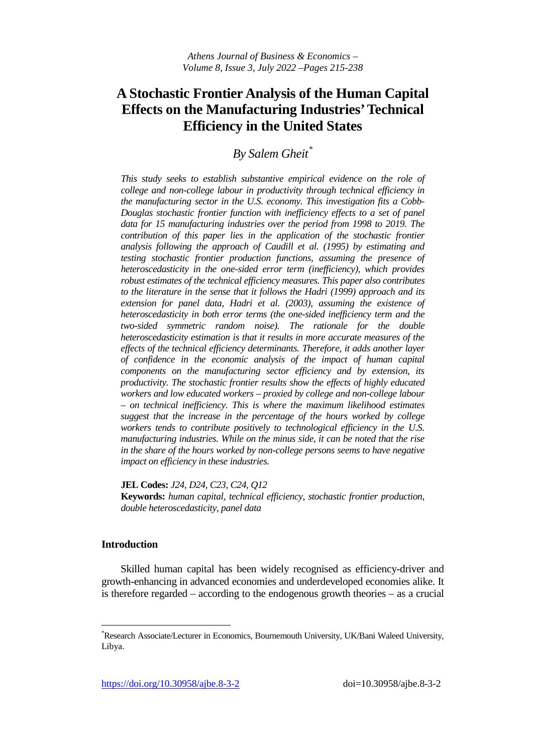# **A Stochastic Frontier Analysis of the Human Capital Effects on the Manufacturing Industries' Technical Efficiency in the United States**

*By Salem Gheit[\\*](#page-0-0)*

*This study seeks to establish substantive empirical evidence on the role of college and non-college labour in productivity through technical efficiency in the manufacturing sector in the U.S. economy. This investigation fits a Cobb-Douglas stochastic frontier function with inefficiency effects to a set of panel data for 15 manufacturing industries over the period from 1998 to 2019. The contribution of this paper lies in the application of the stochastic frontier analysis following the approach of Caudill et al. (1995) by estimating and testing stochastic frontier production functions, assuming the presence of heteroscedasticity in the one-sided error term (inefficiency), which provides robust estimates of the technical efficiency measures. This paper also contributes to the literature in the sense that it follows the Hadri (1999) approach and its extension for panel data, Hadri et al. (2003), assuming the existence of heteroscedasticity in both error terms (the one-sided inefficiency term and the two-sided symmetric random noise). The rationale for the double heteroscedasticity estimation is that it results in more accurate measures of the effects of the technical efficiency determinants. Therefore, it adds another layer of confidence in the economic analysis of the impact of human capital components on the manufacturing sector efficiency and by extension, its productivity. The stochastic frontier results show the effects of highly educated workers and low educated workers – proxied by college and non-college labour – on technical inefficiency. This is where the maximum likelihood estimates suggest that the increase in the percentage of the hours worked by college workers tends to contribute positively to technological efficiency in the U.S. manufacturing industries. While on the minus side, it can be noted that the rise in the share of the hours worked by non-college persons seems to have negative impact on efficiency in these industries.* 

**JEL Codes:** *J24, D24, C23, C24, Q12*

**Keywords:** *human capital, technical efficiency, stochastic frontier production, double heteroscedasticity, panel data*

## **Introduction**

Skilled human capital has been widely recognised as efficiency-driver and growth-enhancing in advanced economies and underdeveloped economies alike. It is therefore regarded – according to the endogenous growth theories – as a crucial

<span id="page-0-0"></span><sup>\*&</sup>lt;br>
\*Research Associate/Lecturer in Economics, Bournemouth University, UK/Bani Waleed University, Libya.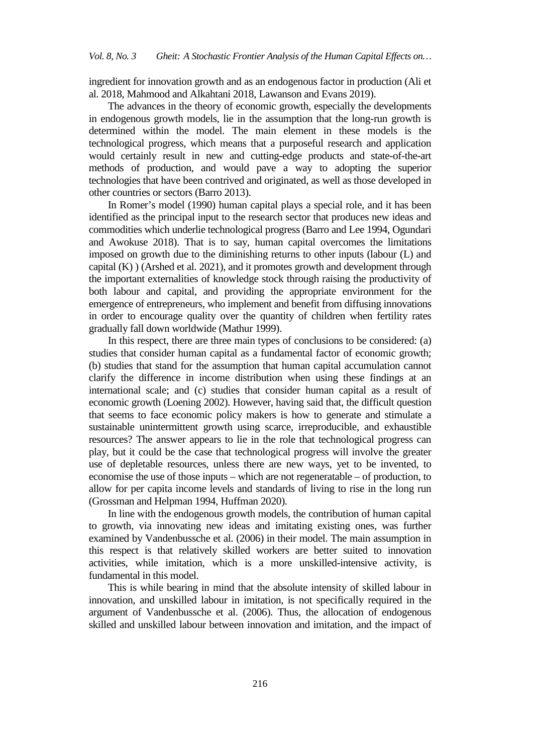ingredient for innovation growth and as an endogenous factor in production (Ali et al. 2018, Mahmood and Alkahtani 2018, Lawanson and Evans 2019).

The advances in the theory of economic growth, especially the developments in endogenous growth models, lie in the assumption that the long-run growth is determined within the model. The main element in these models is the technological progress, which means that a purposeful research and application would certainly result in new and cutting-edge products and state-of-the-art methods of production, and would pave a way to adopting the superior technologies that have been contrived and originated, as well as those developed in other countries or sectors (Barro 2013).

In Romer's model (1990) human capital plays a special role, and it has been identified as the principal input to the research sector that produces new ideas and commodities which underlie technological progress (Barro and Lee 1994, Ogundari and Awokuse 2018). That is to say, human capital overcomes the limitations imposed on growth due to the diminishing returns to other inputs (labour (L) and capital (K) ) (Arshed et al. 2021), and it promotes growth and development through the important externalities of knowledge stock through raising the productivity of both labour and capital, and providing the appropriate environment for the emergence of entrepreneurs, who implement and benefit from diffusing innovations in order to encourage quality over the quantity of children when fertility rates gradually fall down worldwide (Mathur 1999).

In this respect, there are three main types of conclusions to be considered: (a) studies that consider human capital as a fundamental factor of economic growth; (b) studies that stand for the assumption that human capital accumulation cannot clarify the difference in income distribution when using these findings at an international scale; and (c) studies that consider human capital as a result of economic growth (Loening 2002). However, having said that, the difficult question that seems to face economic policy makers is how to generate and stimulate a sustainable unintermittent growth using scarce, irreproducible, and exhaustible resources? The answer appears to lie in the role that technological progress can play, but it could be the case that technological progress will involve the greater use of depletable resources, unless there are new ways, yet to be invented, to economise the use of those inputs – which are not regeneratable – of production, to allow for per capita income levels and standards of living to rise in the long run (Grossman and Helpman 1994, Huffman 2020).

In line with the endogenous growth models, the contribution of human capital to growth, via innovating new ideas and imitating existing ones, was further examined by Vandenbussche et al. (2006) in their model. The main assumption in this respect is that relatively skilled workers are better suited to innovation activities, while imitation, which is a more unskilled-intensive activity, is fundamental in this model.

This is while bearing in mind that the absolute intensity of skilled labour in innovation, and unskilled labour in imitation, is not specifically required in the argument of Vandenbussche et al. (2006). Thus, the allocation of endogenous skilled and unskilled labour between innovation and imitation, and the impact of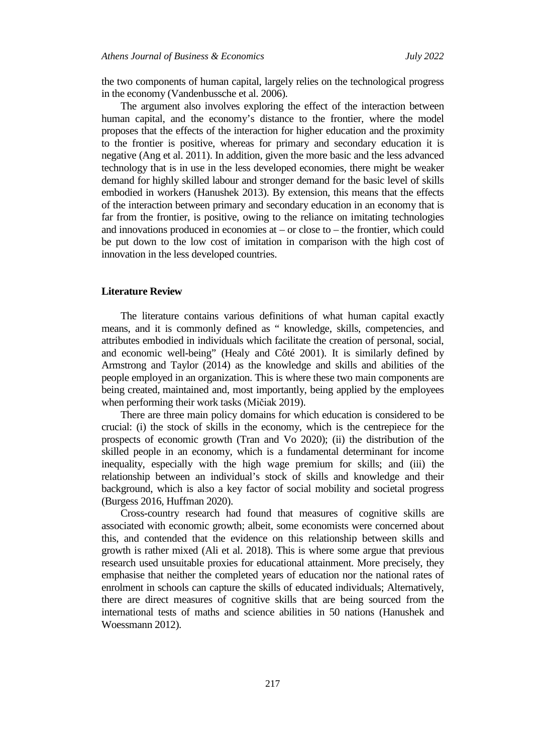the two components of human capital, largely relies on the technological progress in the economy (Vandenbussche et al. 2006).

The argument also involves exploring the effect of the interaction between human capital, and the economy's distance to the frontier, where the model proposes that the effects of the interaction for higher education and the proximity to the frontier is positive, whereas for primary and secondary education it is negative (Ang et al. 2011). In addition, given the more basic and the less advanced technology that is in use in the less developed economies, there might be weaker demand for highly skilled labour and stronger demand for the basic level of skills embodied in workers (Hanushek 2013). By extension, this means that the effects of the interaction between primary and secondary education in an economy that is far from the frontier, is positive, owing to the reliance on imitating technologies and innovations produced in economies at – or close to – the frontier, which could be put down to the low cost of imitation in comparison with the high cost of innovation in the less developed countries.

## **Literature Review**

The literature contains various definitions of what human capital exactly means, and it is commonly defined as " knowledge, skills, competencies, and attributes embodied in individuals which facilitate the creation of personal, social, and economic well-being" (Healy and Côté 2001). It is similarly defined by Armstrong and Taylor (2014) as the knowledge and skills and abilities of the people employed in an organization. This is where these two main components are being created, maintained and, most importantly, being applied by the employees when performing their work tasks (Mičiak 2019).

There are three main policy domains for which education is considered to be crucial: (i) the stock of skills in the economy, which is the centrepiece for the prospects of economic growth (Tran and Vo 2020); (ii) the distribution of the skilled people in an economy, which is a fundamental determinant for income inequality, especially with the high wage premium for skills; and (iii) the relationship between an individual's stock of skills and knowledge and their background, which is also a key factor of social mobility and societal progress (Burgess 2016, Huffman 2020).

Cross-country research had found that measures of cognitive skills are associated with economic growth; albeit, some economists were concerned about this, and contended that the evidence on this relationship between skills and growth is rather mixed (Ali et al. 2018). This is where some argue that previous research used unsuitable proxies for educational attainment. More precisely, they emphasise that neither the completed years of education nor the national rates of enrolment in schools can capture the skills of educated individuals; Alternatively, there are direct measures of cognitive skills that are being sourced from the international tests of maths and science abilities in 50 nations (Hanushek and Woessmann 2012).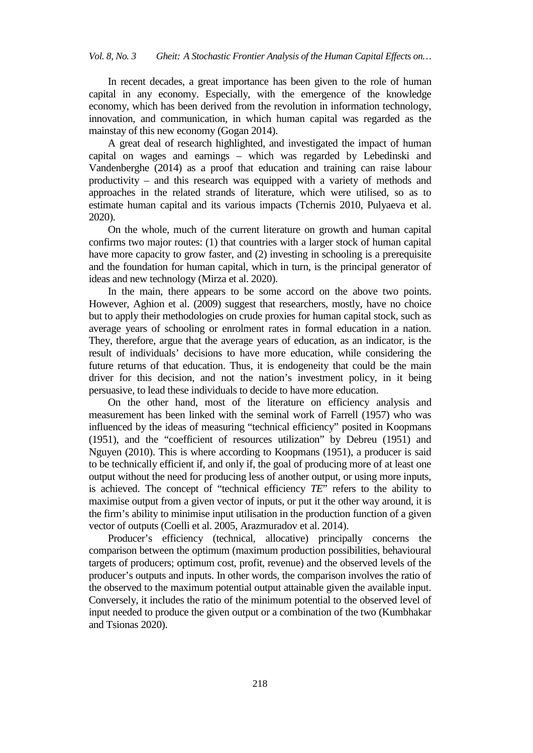In recent decades, a great importance has been given to the role of human capital in any economy. Especially, with the emergence of the knowledge economy, which has been derived from the revolution in information technology, innovation, and communication, in which human capital was regarded as the mainstay of this new economy (Gogan 2014).

A great deal of research highlighted, and investigated the impact of human capital on wages and earnings – which was regarded by Lebedinski and Vandenberghe (2014) as a proof that education and training can raise labour productivity – and this research was equipped with a variety of methods and approaches in the related strands of literature, which were utilised, so as to estimate human capital and its various impacts (Tchernis 2010, Pulyaeva et al. 2020).

On the whole, much of the current literature on growth and human capital confirms two major routes: (1) that countries with a larger stock of human capital have more capacity to grow faster, and (2) investing in schooling is a prerequisite and the foundation for human capital, which in turn, is the principal generator of ideas and new technology (Mirza et al. 2020).

In the main, there appears to be some accord on the above two points. However, Aghion et al. (2009) suggest that researchers, mostly, have no choice but to apply their methodologies on crude proxies for human capital stock, such as average years of schooling or enrolment rates in formal education in a nation. They, therefore, argue that the average years of education, as an indicator, is the result of individuals' decisions to have more education, while considering the future returns of that education. Thus, it is endogeneity that could be the main driver for this decision, and not the nation's investment policy, in it being persuasive, to lead these individuals to decide to have more education.

On the other hand, most of the literature on efficiency analysis and measurement has been linked with the seminal work of Farrell (1957) who was influenced by the ideas of measuring "technical efficiency" posited in Koopmans (1951), and the "coefficient of resources utilization" by Debreu (1951) and Nguyen (2010). This is where according to Koopmans (1951), a producer is said to be technically efficient if, and only if, the goal of producing more of at least one output without the need for producing less of another output, or using more inputs, is achieved. The concept of "technical efficiency *TE*" refers to the ability to maximise output from a given vector of inputs, or put it the other way around, it is the firm's ability to minimise input utilisation in the production function of a given vector of outputs (Coelli et al. 2005, Arazmuradov et al. 2014).

Producer's efficiency (technical, allocative) principally concerns the comparison between the optimum (maximum production possibilities, behavioural targets of producers; optimum cost, profit, revenue) and the observed levels of the producer's outputs and inputs. In other words, the comparison involves the ratio of the observed to the maximum potential output attainable given the available input. Conversely, it includes the ratio of the minimum potential to the observed level of input needed to produce the given output or a combination of the two (Kumbhakar and Tsionas 2020).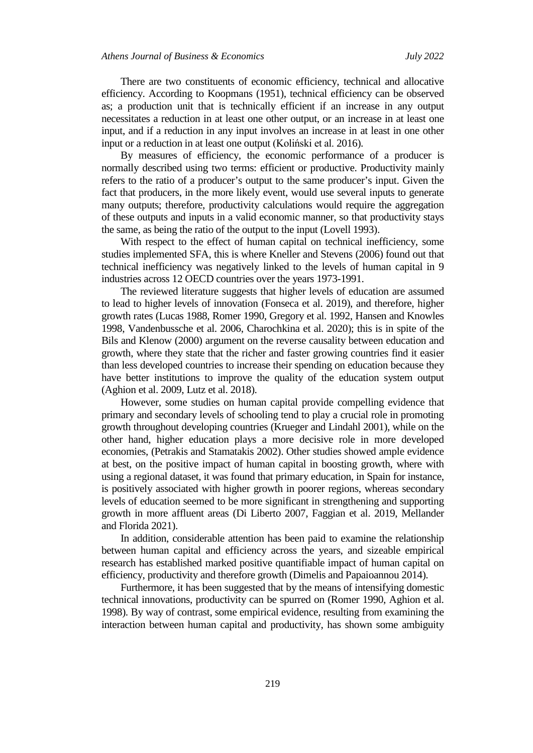There are two constituents of economic efficiency, technical and allocative efficiency. According to Koopmans (1951), technical efficiency can be observed as; a production unit that is technically efficient if an increase in any output necessitates a reduction in at least one other output, or an increase in at least one input, and if a reduction in any input involves an increase in at least in one other input or a reduction in at least one output (Koliński et al. 2016).

By measures of efficiency, the economic performance of a producer is normally described using two terms: efficient or productive. Productivity mainly refers to the ratio of a producer's output to the same producer's input. Given the fact that producers, in the more likely event, would use several inputs to generate many outputs; therefore, productivity calculations would require the aggregation of these outputs and inputs in a valid economic manner, so that productivity stays the same, as being the ratio of the output to the input (Lovell 1993).

With respect to the effect of human capital on technical inefficiency, some studies implemented SFA, this is where Kneller and Stevens (2006) found out that technical inefficiency was negatively linked to the levels of human capital in 9 industries across 12 OECD countries over the years 1973-1991.

The reviewed literature suggests that higher levels of education are assumed to lead to higher levels of innovation (Fonseca et al. 2019), and therefore, higher growth rates (Lucas 1988, Romer 1990, Gregory et al. 1992, Hansen and Knowles 1998, Vandenbussche et al. 2006, Charochkina et al. 2020); this is in spite of the Bils and Klenow (2000) argument on the reverse causality between education and growth, where they state that the richer and faster growing countries find it easier than less developed countries to increase their spending on education because they have better institutions to improve the quality of the education system output (Aghion et al. 2009, Lutz et al. 2018).

However, some studies on human capital provide compelling evidence that primary and secondary levels of schooling tend to play a crucial role in promoting growth throughout developing countries (Krueger and Lindahl 2001), while on the other hand, higher education plays a more decisive role in more developed economies, (Petrakis and Stamatakis 2002). Other studies showed ample evidence at best, on the positive impact of human capital in boosting growth, where with using a regional dataset, it was found that primary education, in Spain for instance, is positively associated with higher growth in poorer regions, whereas secondary levels of education seemed to be more significant in strengthening and supporting growth in more affluent areas (Di Liberto 2007, Faggian et al. 2019, Mellander and Florida 2021).

In addition, considerable attention has been paid to examine the relationship between human capital and efficiency across the years, and sizeable empirical research has established marked positive quantifiable impact of human capital on efficiency, productivity and therefore growth (Dimelis and Papaioannou 2014).

Furthermore, it has been suggested that by the means of intensifying domestic technical innovations, productivity can be spurred on (Romer 1990, Aghion et al. 1998). By way of contrast, some empirical evidence, resulting from examining the interaction between human capital and productivity, has shown some ambiguity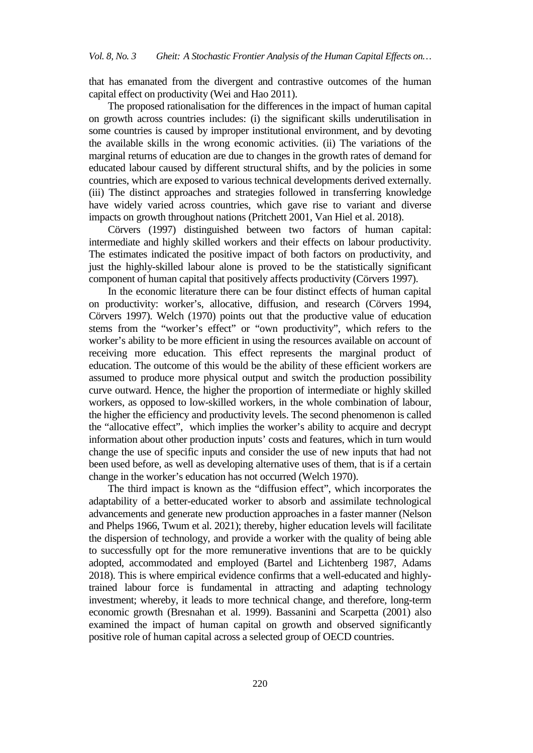that has emanated from the divergent and contrastive outcomes of the human capital effect on productivity (Wei and Hao 2011).

The proposed rationalisation for the differences in the impact of human capital on growth across countries includes: (i) the significant skills underutilisation in some countries is caused by improper institutional environment, and by devoting the available skills in the wrong economic activities. (ii) The variations of the marginal returns of education are due to changes in the growth rates of demand for educated labour caused by different structural shifts, and by the policies in some countries, which are exposed to various technical developments derived externally. (iii) The distinct approaches and strategies followed in transferring knowledge have widely varied across countries, which gave rise to variant and diverse impacts on growth throughout nations (Pritchett 2001, Van Hiel et al. 2018).

Cörvers (1997) distinguished between two factors of human capital: intermediate and highly skilled workers and their effects on labour productivity. The estimates indicated the positive impact of both factors on productivity, and just the highly-skilled labour alone is proved to be the statistically significant component of human capital that positively affects productivity (Cörvers 1997).

In the economic literature there can be four distinct effects of human capital on productivity: worker's, allocative, diffusion, and research (Cörvers 1994, Cörvers 1997). Welch (1970) points out that the productive value of education stems from the "worker's effect" or "own productivity", which refers to the worker's ability to be more efficient in using the resources available on account of receiving more education. This effect represents the marginal product of education. The outcome of this would be the ability of these efficient workers are assumed to produce more physical output and switch the production possibility curve outward. Hence, the higher the proportion of intermediate or highly skilled workers, as opposed to low-skilled workers, in the whole combination of labour, the higher the efficiency and productivity levels. The second phenomenon is called the "allocative effect", which implies the worker's ability to acquire and decrypt information about other production inputs' costs and features, which in turn would change the use of specific inputs and consider the use of new inputs that had not been used before, as well as developing alternative uses of them, that is if a certain change in the worker's education has not occurred (Welch 1970).

The third impact is known as the "diffusion effect", which incorporates the adaptability of a better-educated worker to absorb and assimilate technological advancements and generate new production approaches in a faster manner (Nelson and Phelps 1966, Twum et al. 2021); thereby, higher education levels will facilitate the dispersion of technology, and provide a worker with the quality of being able to successfully opt for the more remunerative inventions that are to be quickly adopted, accommodated and employed (Bartel and Lichtenberg 1987, Adams 2018). This is where empirical evidence confirms that a well-educated and highlytrained labour force is fundamental in attracting and adapting technology investment; whereby, it leads to more technical change, and therefore, long-term economic growth (Bresnahan et al. 1999). Bassanini and Scarpetta (2001) also examined the impact of human capital on growth and observed significantly positive role of human capital across a selected group of OECD countries.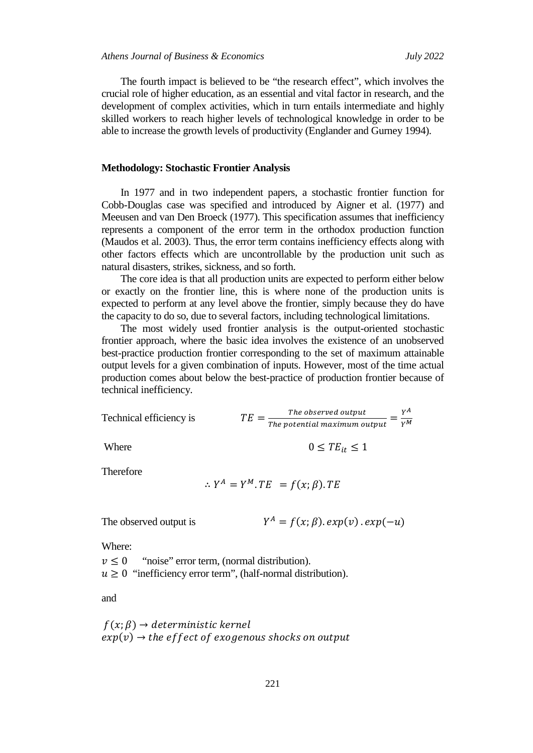The fourth impact is believed to be "the research effect", which involves the crucial role of higher education, as an essential and vital factor in research, and the development of complex activities, which in turn entails intermediate and highly skilled workers to reach higher levels of technological knowledge in order to be able to increase the growth levels of productivity (Englander and Gurney 1994).

#### **Methodology: Stochastic Frontier Analysis**

In 1977 and in two independent papers, a stochastic frontier function for Cobb-Douglas case was specified and introduced by Aigner et al. (1977) and Meeusen and van Den Broeck (1977). This specification assumes that inefficiency represents a component of the error term in the orthodox production function (Maudos et al. 2003). Thus, the error term contains inefficiency effects along with other factors effects which are uncontrollable by the production unit such as natural disasters, strikes, sickness, and so forth.

The core idea is that all production units are expected to perform either below or exactly on the frontier line, this is where none of the production units is expected to perform at any level above the frontier, simply because they do have the capacity to do so, due to several factors, including technological limitations.

The most widely used frontier analysis is the output-oriented stochastic frontier approach, where the basic idea involves the existence of an unobserved best-practice production frontier corresponding to the set of maximum attainable output levels for a given combination of inputs. However, most of the time actual production comes about below the best-practice of production frontier because of technical inefficiency.

Technical efficiency is

\n
$$
TE = \frac{The\ observed\ output}{The\ potential\ maximum\ output} = \frac{Y^{A}}{Y^{M}}
$$
\nWhere

\n
$$
0 \leq TE_{it} \leq 1
$$

Therefore

$$
\therefore Y^A = Y^M \cdot TE = f(x; \beta) \cdot TE
$$

The observed output is

$$
Y^A = f(x; \beta) \cdot exp(v) \cdot exp(-u)
$$

Where:

 $v \leq 0$  "noise" error term, (normal distribution).  $u \geq 0$  "inefficiency error term", (half-normal distribution).

and

$$
f(x; \beta) \rightarrow
$$
 deterministic *kernel*  
exp(v)  $\rightarrow$  the *effect of exogenous shocks on output*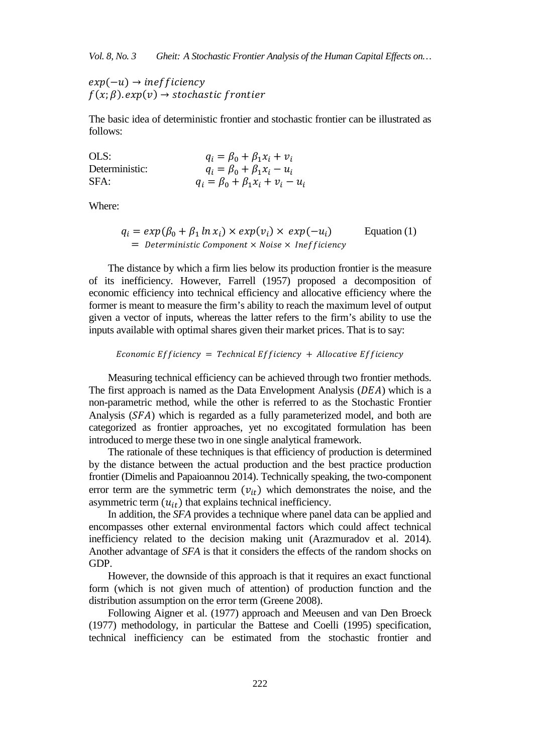$exp(-u) \rightarrow inefficiency$  $f(x; \beta)$ ,  $exp(y) \rightarrow stochastic$  frontier

The basic idea of deterministic frontier and stochastic frontier can be illustrated as follows:

OLS:<br>  $q_i = \beta_0 + \beta_1 x_i + v_i$ <br>
Deterministic:<br>  $q_i = \beta_0 + \beta_1 x_i - u_i$ Deterministic:  $q_i = \beta_0 + \beta_1 x_i - u_i$ <br>SFA:  $a_i = \beta_0 + \beta_2 x_i + v_i$  $q_i = \beta_0 + \beta_1 x_i + v_i - u_i$ 

Where:

$$
q_i = exp(\beta_0 + \beta_1 \ln x_i) \times exp(v_i) \times exp(-u_i)
$$
 Equation (1)  
= *Deterministic Component* × *Noise* × *Inefficiency*

The distance by which a firm lies below its production frontier is the measure of its inefficiency. However, Farrell (1957) proposed a decomposition of economic efficiency into technical efficiency and allocative efficiency where the former is meant to measure the firm's ability to reach the maximum level of output given a vector of inputs, whereas the latter refers to the firm's ability to use the inputs available with optimal shares given their market prices. That is to say:

Economic Efficiency = Technical Efficiency + Allocative Efficiency

Measuring technical efficiency can be achieved through two frontier methods. The first approach is named as the Data Envelopment Analysis  $(DEA)$  which is a non-parametric method, while the other is referred to as the Stochastic Frontier Analysis (SFA) which is regarded as a fully parameterized model, and both are categorized as frontier approaches, yet no excogitated formulation has been introduced to merge these two in one single analytical framework.

The rationale of these techniques is that efficiency of production is determined by the distance between the actual production and the best practice production frontier (Dimelis and Papaioannou 2014). Technically speaking, the two-component error term are the symmetric term  $(v_{it})$  which demonstrates the noise, and the asymmetric term  $(u_{it})$  that explains technical inefficiency.

In addition, the *SFA* provides a technique where panel data can be applied and encompasses other external environmental factors which could affect technical inefficiency related to the decision making unit (Arazmuradov et al. 2014). Another advantage of *SFA* is that it considers the effects of the random shocks on GDP.

However, the downside of this approach is that it requires an exact functional form (which is not given much of attention) of production function and the distribution assumption on the error term (Greene 2008).

Following Aigner et al. (1977) approach and Meeusen and van Den Broeck (1977) methodology, in particular the Battese and Coelli (1995) specification, technical inefficiency can be estimated from the stochastic frontier and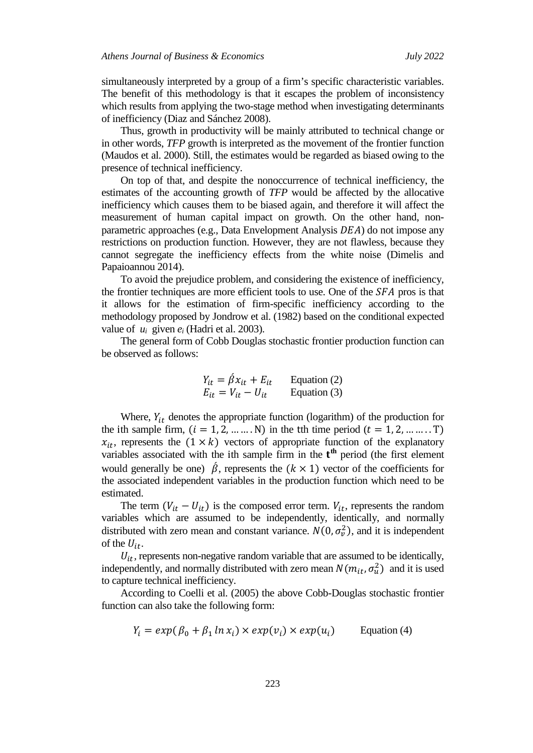simultaneously interpreted by a group of a firm's specific characteristic variables. The benefit of this methodology is that it escapes the problem of inconsistency which results from applying the two-stage method when investigating determinants of inefficiency (Diaz and Sánchez 2008).

Thus, growth in productivity will be mainly attributed to technical change or in other words, *TFP* growth is interpreted as the movement of the frontier function (Maudos et al. 2000). Still, the estimates would be regarded as biased owing to the presence of technical inefficiency.

On top of that, and despite the nonoccurrence of technical inefficiency, the estimates of the accounting growth of *TFP* would be affected by the allocative inefficiency which causes them to be biased again, and therefore it will affect the measurement of human capital impact on growth. On the other hand, nonparametric approaches (e.g., Data Envelopment Analysis  $DEA$ ) do not impose any restrictions on production function. However, they are not flawless, because they cannot segregate the inefficiency effects from the white noise (Dimelis and Papaioannou 2014).

To avoid the prejudice problem, and considering the existence of inefficiency, the frontier techniques are more efficient tools to use. One of the  $SFA$  pros is that it allows for the estimation of firm-specific inefficiency according to the methodology proposed by Jondrow et al. (1982) based on the conditional expected value of *ui* given *ei* (Hadri et al. 2003).

The general form of Cobb Douglas stochastic frontier production function can be observed as follows:

$$
Y_{it} = \hat{\beta} x_{it} + E_{it}
$$
 Equation (2)  

$$
E_{it} = V_{it} - U_{it}
$$
 Equation (3)

Where,  $Y_{it}$  denotes the appropriate function (logarithm) of the production for the ith sample firm,  $(i = 1, 2, ..., N)$  in the tth time period  $(t = 1, 2, ..., T)$  $x_{it}$ , represents the  $(1 \times k)$  vectors of appropriate function of the explanatory variables associated with the ith sample firm in the  $t<sup>th</sup>$  period (the first element would generally be one)  $\beta$ , represents the  $(k \times 1)$  vector of the coefficients for the associated independent variables in the production function which need to be estimated.

The term  $(V_{it} - U_{it})$  is the composed error term.  $V_{it}$ , represents the random variables which are assumed to be independently, identically, and normally distributed with zero mean and constant variance.  $N(0, \sigma_v^2)$ , and it is independent of the  $U_{it}$ .

 $U_{it}$ , represents non-negative random variable that are assumed to be identically, independently, and normally distributed with zero mean  $N(m_{it}, \sigma_u^2)$  and it is used to capture technical inefficiency.

According to Coelli et al. (2005) the above Cobb-Douglas stochastic frontier function can also take the following form:

$$
Y_i = exp(\beta_0 + \beta_1 \ln x_i) \times exp(v_i) \times exp(u_i)
$$
 Equation (4)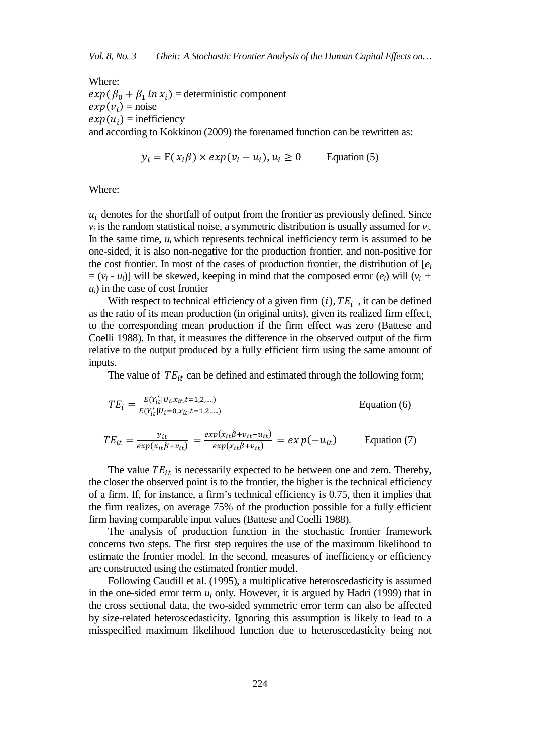Where:

 $exp(\beta_0 + \beta_1 \ln x_i)$  = deterministic component  $exp(v_i)$  = noise  $exp(u_i)$  = inefficiency and according to Kokkinou (2009) the forenamed function can be rewritten as:

$$
y_i = F(x_i \beta) \times exp(v_i - u_i), u_i \ge 0
$$
 Equation (5)

Where:

 $u_i$  denotes for the shortfall of output from the frontier as previously defined. Since  $v_i$  is the random statistical noise, a symmetric distribution is usually assumed for  $v_i$ . In the same time,  $u_i$  which represents technical inefficiency term is assumed to be one-sided, it is also non-negative for the production frontier, and non-positive for the cost frontier. In most of the cases of production frontier, the distribution of  $[e_i]$  $= (v_i - u_i)$ ] will be skewed, keeping in mind that the composed error  $(e_i)$  will  $(v_i +$ *ui*) in the case of cost frontier

With respect to technical efficiency of a given firm  $(i)$ ,  $TE<sub>i</sub>$ , it can be defined as the ratio of its mean production (in original units), given its realized firm effect, to the corresponding mean production if the firm effect was zero (Battese and Coelli 1988). In that, it measures the difference in the observed output of the firm relative to the output produced by a fully efficient firm using the same amount of inputs.

The value of  $TE_{it}$  can be defined and estimated through the following form;

$$
TE_{i} = \frac{E(Y_{it}^{*}|U_{i}x_{it}, t=1,2,...)}{E(Y_{it}^{*}|U_{i}=0, x_{it}, t=1,2,...)}
$$
 Equation (6)

$$
TE_{it} = \frac{y_{it}}{exp(x_{it}\hat{\beta}+v_{it})} = \frac{exp(x_{it}\hat{\beta}+v_{it}-u_{it})}{exp(x_{it}\hat{\beta}+v_{it})} = ex p(-u_{it})
$$
 Equation (7)

The value  $TE_{it}$  is necessarily expected to be between one and zero. Thereby, the closer the observed point is to the frontier, the higher is the technical efficiency of a firm. If, for instance, a firm's technical efficiency is 0.75, then it implies that the firm realizes, on average 75% of the production possible for a fully efficient firm having comparable input values (Battese and Coelli 1988).

The analysis of production function in the stochastic frontier framework concerns two steps. The first step requires the use of the maximum likelihood to estimate the frontier model. In the second, measures of inefficiency or efficiency are constructed using the estimated frontier model.

Following Caudill et al. (1995), a multiplicative heteroscedasticity is assumed in the one-sided error term  $u_i$  only. However, it is argued by Hadri (1999) that in the cross sectional data, the two-sided symmetric error term can also be affected by size-related heteroscedasticity. Ignoring this assumption is likely to lead to a misspecified maximum likelihood function due to heteroscedasticity being not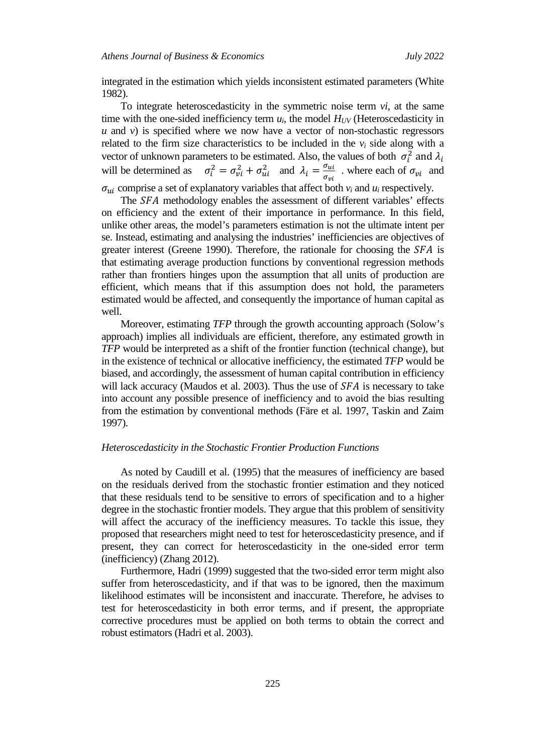integrated in the estimation which yields inconsistent estimated parameters (White 1982).

To integrate heteroscedasticity in the symmetric noise term *vi*, at the same time with the one-sided inefficiency term  $u_i$ , the model  $H_{UV}$  (Heteroscedasticity in  $u$  and  $v$ ) is specified where we now have a vector of non-stochastic regressors related to the firm size characteristics to be included in the  $v_i$  side along with a vector of unknown parameters to be estimated. Also, the values of both  $\sigma_i^2$  and  $\lambda_i$ will be determined as  $\sigma_i^2 = \sigma_{vi}^2 + \sigma_{ui}^2$  and  $\lambda_i = \frac{\sigma_{ui}}{\sigma_{vi}}$  where each of  $\sigma_{vi}$  and  $\sigma_{ui}$  comprise a set of explanatory variables that affect both  $v_i$  and  $u_i$  respectively.

The SFA methodology enables the assessment of different variables' effects on efficiency and the extent of their importance in performance. In this field, unlike other areas, the model's parameters estimation is not the ultimate intent per se. Instead, estimating and analysing the industries' inefficiencies are objectives of greater interest (Greene 1990). Therefore, the rationale for choosing the  $SFA$  is that estimating average production functions by conventional regression methods rather than frontiers hinges upon the assumption that all units of production are efficient, which means that if this assumption does not hold, the parameters estimated would be affected, and consequently the importance of human capital as well.

Moreover, estimating *TFP* through the growth accounting approach (Solow's approach) implies all individuals are efficient, therefore, any estimated growth in *TFP* would be interpreted as a shift of the frontier function (technical change), but in the existence of technical or allocative inefficiency, the estimated *TFP* would be biased, and accordingly, the assessment of human capital contribution in efficiency will lack accuracy (Maudos et al. 2003). Thus the use of  $SFA$  is necessary to take into account any possible presence of inefficiency and to avoid the bias resulting from the estimation by conventional methods (Färe et al. 1997, Taskin and Zaim 1997).

## *Heteroscedasticity in the Stochastic Frontier Production Functions*

As noted by Caudill et al. (1995) that the measures of inefficiency are based on the residuals derived from the stochastic frontier estimation and they noticed that these residuals tend to be sensitive to errors of specification and to a higher degree in the stochastic frontier models. They argue that this problem of sensitivity will affect the accuracy of the inefficiency measures. To tackle this issue, they proposed that researchers might need to test for heteroscedasticity presence, and if present, they can correct for heteroscedasticity in the one-sided error term (inefficiency) (Zhang 2012).

Furthermore, Hadri (1999) suggested that the two-sided error term might also suffer from heteroscedasticity, and if that was to be ignored, then the maximum likelihood estimates will be inconsistent and inaccurate. Therefore, he advises to test for heteroscedasticity in both error terms, and if present, the appropriate corrective procedures must be applied on both terms to obtain the correct and robust estimators (Hadri et al. 2003).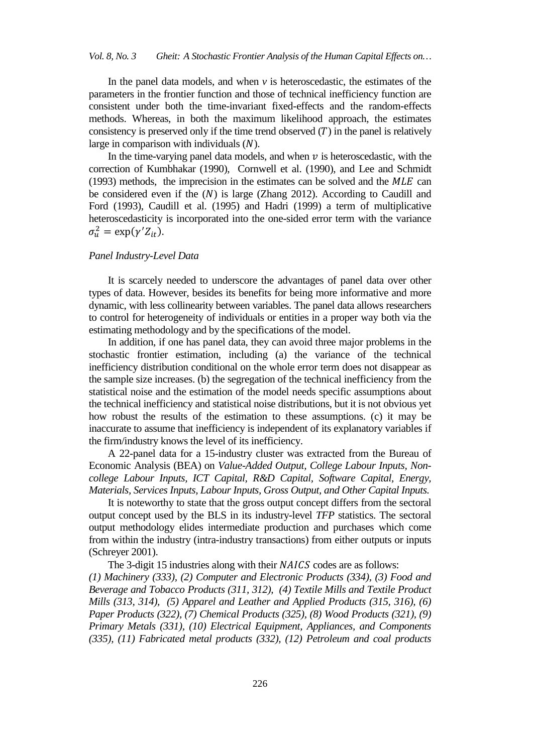In the panel data models, and when  $\nu$  is heteroscedastic, the estimates of the parameters in the frontier function and those of technical inefficiency function are consistent under both the time-invariant fixed-effects and the random-effects methods. Whereas, in both the maximum likelihood approach, the estimates consistency is preserved only if the time trend observed  $(T)$  in the panel is relatively large in comparison with individuals  $(N)$ .

In the time-varying panel data models, and when  $\nu$  is heteroscedastic, with the correction of Kumbhakar (1990), Cornwell et al. (1990), and Lee and Schmidt  $(1993)$  methods, the imprecision in the estimates can be solved and the  $MLE$  can be considered even if the  $(N)$  is large (Zhang 2012). According to Caudill and Ford (1993), Caudill et al. (1995) and Hadri (1999) a term of multiplicative heteroscedasticity is incorporated into the one-sided error term with the variance  $\sigma_u^2 = \exp(\gamma' Z_{it}).$ 

## *Panel Industry-Level Data*

It is scarcely needed to underscore the advantages of panel data over other types of data. However, besides its benefits for being more informative and more dynamic, with less collinearity between variables. The panel data allows researchers to control for heterogeneity of individuals or entities in a proper way both via the estimating methodology and by the specifications of the model.

In addition, if one has panel data, they can avoid three major problems in the stochastic frontier estimation, including (a) the variance of the technical inefficiency distribution conditional on the whole error term does not disappear as the sample size increases. (b) the segregation of the technical inefficiency from the statistical noise and the estimation of the model needs specific assumptions about the technical inefficiency and statistical noise distributions, but it is not obvious yet how robust the results of the estimation to these assumptions. (c) it may be inaccurate to assume that inefficiency is independent of its explanatory variables if the firm/industry knows the level of its inefficiency.

A 22-panel data for a 15-industry cluster was extracted from the Bureau of Economic Analysis (BEA) on *Value-Added Output, College Labour Inputs, Noncollege Labour Inputs, ICT Capital, R&D Capital, Software Capital, Energy, Materials, Services Inputs, Labour Inputs, Gross Output, and Other Capital Inputs.*

It is noteworthy to state that the gross output concept differs from the sectoral output concept used by the BLS in its industry-level *TFP* statistics. The sectoral output methodology elides intermediate production and purchases which come from within the industry (intra-industry transactions) from either outputs or inputs (Schreyer 2001).

The 3-digit 15 industries along with their NAICS codes are as follows: *(1) Machinery (333), (2) Computer and Electronic Products (334), (3) Food and Beverage and Tobacco Products (311, 312), (4) Textile Mills and Textile Product Mills (313, 314), (5) Apparel and Leather and Applied Products (315, 316), (6) Paper Products (322), (7) Chemical Products (325), (8) Wood Products (321), (9) Primary Metals (331), (10) Electrical Equipment, Appliances, and Components (335), (11) Fabricated metal products (332), (12) Petroleum and coal products*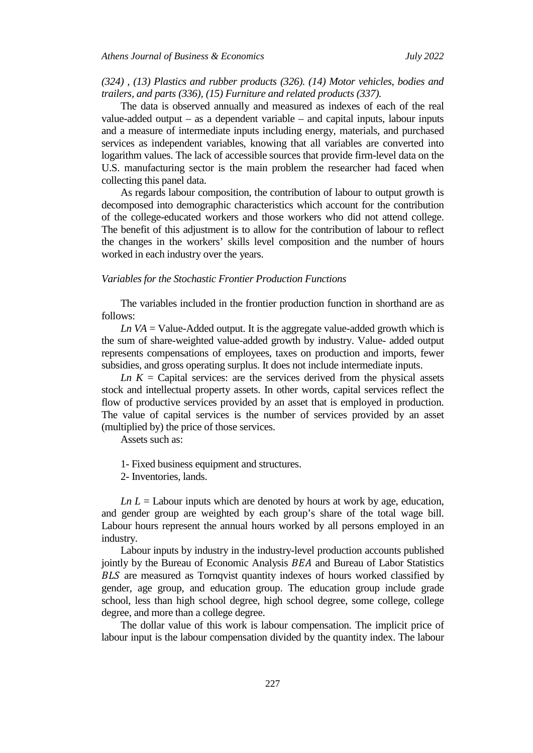## *(324) , (13) Plastics and rubber products (326). (14) Motor vehicles, bodies and trailers, and parts (336), (15) Furniture and related products (337).*

The data is observed annually and measured as indexes of each of the real value-added output – as a dependent variable – and capital inputs, labour inputs and a measure of intermediate inputs including energy, materials, and purchased services as independent variables, knowing that all variables are converted into logarithm values. The lack of accessible sources that provide firm-level data on the U.S. manufacturing sector is the main problem the researcher had faced when collecting this panel data.

As regards labour composition, the contribution of labour to output growth is decomposed into demographic characteristics which account for the contribution of the college-educated workers and those workers who did not attend college. The benefit of this adjustment is to allow for the contribution of labour to reflect the changes in the workers' skills level composition and the number of hours worked in each industry over the years.

## *Variables for the Stochastic Frontier Production Functions*

The variables included in the frontier production function in shorthand are as follows:

*Ln VA* = Value-Added output. It is the aggregate value-added growth which is the sum of share-weighted value-added growth by industry. Value- added output represents compensations of employees, taxes on production and imports, fewer subsidies, and gross operating surplus. It does not include intermediate inputs.

*Ln K* = Capital services: are the services derived from the physical assets stock and intellectual property assets. In other words, capital services reflect the flow of productive services provided by an asset that is employed in production. The value of capital services is the number of services provided by an asset (multiplied by) the price of those services.

Assets such as:

1- Fixed business equipment and structures.

2- Inventories, lands.

*Ln L* = Labour inputs which are denoted by hours at work by age, education, and gender group are weighted by each group's share of the total wage bill. Labour hours represent the annual hours worked by all persons employed in an industry.

Labour inputs by industry in the industry-level production accounts published jointly by the Bureau of Economic Analysis  $BEA$  and Bureau of Labor Statistics BLS are measured as Tornqvist quantity indexes of hours worked classified by gender, age group, and education group. The education group include grade school, less than high school degree, high school degree, some college, college degree, and more than a college degree.

The dollar value of this work is labour compensation. The implicit price of labour input is the labour compensation divided by the quantity index. The labour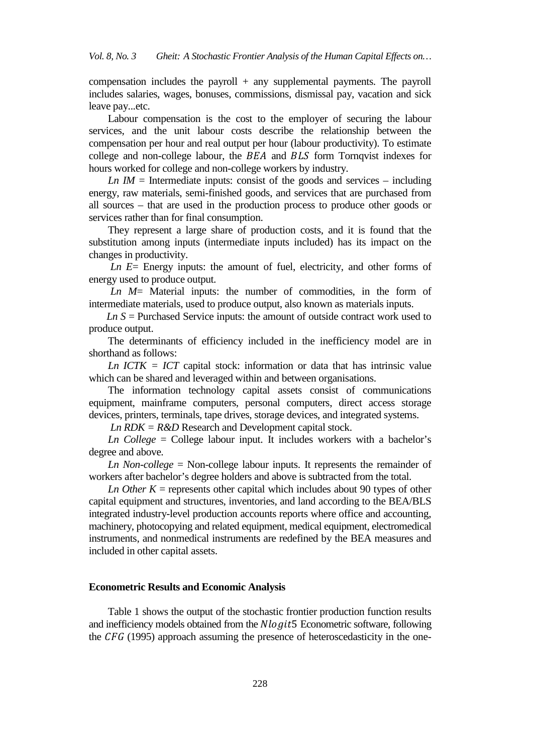compensation includes the payroll  $+$  any supplemental payments. The payroll includes salaries, wages, bonuses, commissions, dismissal pay, vacation and sick leave pay...etc.

Labour compensation is the cost to the employer of securing the labour services, and the unit labour costs describe the relationship between the compensation per hour and real output per hour (labour productivity). To estimate college and non-college labour, the  $BEA$  and  $BLS$  form Tornqvist indexes for hours worked for college and non-college workers by industry.

*Ln IM* = Intermediate inputs: consist of the goods and services  $-$  including energy, raw materials, semi-finished goods, and services that are purchased from all sources – that are used in the production process to produce other goods or services rather than for final consumption.

They represent a large share of production costs, and it is found that the substitution among inputs (intermediate inputs included) has its impact on the changes in productivity.

*Ln E*= Energy inputs: the amount of fuel, electricity, and other forms of energy used to produce output.

*Ln M*= Material inputs: the number of commodities, in the form of intermediate materials, used to produce output, also known as materials inputs.

 *Ln S* = Purchased Service inputs: the amount of outside contract work used to produce output.

The determinants of efficiency included in the inefficiency model are in shorthand as follows:

*Ln ICTK = ICT* capital stock: information or data that has intrinsic value which can be shared and leveraged within and between organisations.

The information technology capital assets consist of communications equipment, mainframe computers, personal computers, direct access storage devices, printers, terminals, tape drives, storage devices, and integrated systems.

*Ln RDK = R&D* Research and Development capital stock.

*Ln College* = College labour input. It includes workers with a bachelor's degree and above.

*Ln Non-college* = Non-college labour inputs. It represents the remainder of workers after bachelor's degree holders and above is subtracted from the total.

*Ln Other K* = represents other capital which includes about 90 types of other capital equipment and structures, inventories, and land according to the BEA/BLS integrated industry-level production accounts reports where office and accounting, machinery, photocopying and related equipment, medical equipment, electromedical instruments, and nonmedical instruments are redefined by the BEA measures and included in other capital assets.

#### **Econometric Results and Economic Analysis**

Table 1 shows the output of the stochastic frontier production function results and inefficiency models obtained from the  $Nlogit5$  Econometric software, following the *CFG* (1995) approach assuming the presence of heteroscedasticity in the one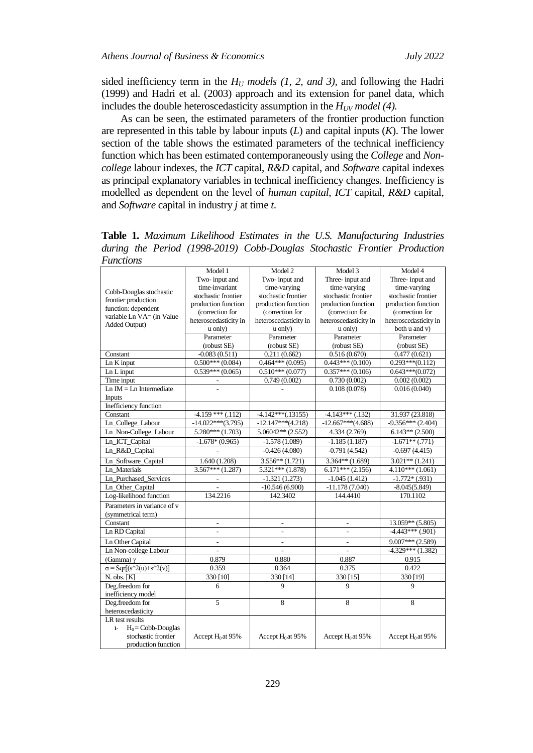sided inefficiency term in the  $H_U$  models  $(1, 2, and 3)$ , and following the Hadri (1999) and Hadri et al. (2003) approach and its extension for panel data, which includes the double heteroscedasticity assumption in the  $H_{UV}$  model (4).

As can be seen, the estimated parameters of the frontier production function are represented in this table by labour inputs (*L*) and capital inputs (*K*). The lower section of the table shows the estimated parameters of the technical inefficiency function which has been estimated contemporaneously using the *College* and *Noncollege* labour indexes, the *ICT* capital, *R&D* capital, and *Software* capital indexes as principal explanatory variables in technical inefficiency changes. Inefficiency is modelled as dependent on the level of *human capital*, *ICT* capital, *R&D* capital, and *Software* capital in industry *j* at time *t*.

**Table 1.** *Maximum Likelihood Estimates in the U.S. Manufacturing Industries during the Period (1998-2019) Cobb-Douglas Stochastic Frontier Production Functions*

| Cobb-Douglas stochastic                                | Model 1               | Model 2                             | Model 3               | Model 4                            |
|--------------------------------------------------------|-----------------------|-------------------------------------|-----------------------|------------------------------------|
|                                                        | Two-input and         | Two-input and                       | Three-input and       | Three-input and                    |
|                                                        | time-invariant        | time-varying                        | time-varying          | time-varying                       |
| frontier production                                    | stochastic frontier   | stochastic frontier                 | stochastic frontier   | stochastic frontier                |
| function: dependent                                    | production function   | production function                 | production function   | production function                |
| variable Ln VA= (ln Value                              | (correction for       | (correction for                     | (correction for       | (correction for                    |
| Added Output)                                          | heteroscedasticity in | heteroscedasticity in               | heteroscedasticity in | heteroscedasticity in              |
|                                                        | u only)               | u only)                             | u only)               | both u and v)                      |
|                                                        | Parameter             | Parameter                           | Parameter             | Parameter                          |
|                                                        | (robust SE)           | (robust SE)                         | (robust SE)           | (robust SE)                        |
| Constant                                               | $-0.083(0.511)$       | 0.211(0.662)                        | 0.516(0.670)          | 0.477(0.621)                       |
| $Ln K$ input                                           | $0.500***(0.084)$     | $0.464***(0.095)$                   | $0.443***(0.100)$     | $0.293***(0.112)$                  |
| Ln L input                                             | $0.539***(0.065)$     | $0.510***(0.077)$                   | $0.357***(0.106)$     | $0.643***(0.072)$                  |
| Time input                                             |                       | 0.749(0.002)                        | 0.730(0.002)          | 0.002(0.002)                       |
| $Ln$ IM = $Ln$ Intermediate                            |                       |                                     | 0.108(0.078)          | 0.016(0.040)                       |
| <b>Inputs</b>                                          |                       |                                     |                       |                                    |
| Inefficiency function                                  |                       |                                     |                       |                                    |
| Constant                                               | $-4.159***$ (.112)    | $-4.142***(.13155)$                 | $-4.143***$ (.132)    | 31.937 (23.818)                    |
| Ln_College_Labour                                      | $-14.022***(3.795)$   | $-12.147***(4.218)$                 | $-12.667***(4.688)$   | $-9.356***$ (2.404)                |
| Ln_Non-College_Labour                                  | $5.280***(1.703)$     | $5.06042**$ (2.552)                 | 4.334 (2.769)         | $6.143**$ (2.500)                  |
| Ln_ICT_Capital                                         | $-1.678*(0.965)$      | $-1.578(1.089)$                     | $-1.185(1.187)$       | $-1.671**$ (.771)                  |
| Ln_R&D_Capital                                         |                       | $-0.426(4.080)$                     | $-0.791(4.542)$       | $-0.697(4.415)$                    |
| Ln_Software_Capital                                    | 1.640 (1.208)         | $3.556**$ (1.721)                   | $3.364**$ (1.689)     | $3.021**$ (1.241)                  |
| Ln Materials                                           | $3.567***(1.287)$     | $5.321***$ (1.878)                  | $6.171***$ (2.156)    | $4.110***(1.061)$                  |
| Ln_Purchased_Services                                  |                       |                                     | $-1.045(1.412)$       |                                    |
| Ln_Other_Capital                                       | $\blacksquare$        | $-1.321(1.273)$<br>$-10.546(6.900)$ | $-11.178(7.040)$      | $-1.772*(.931)$<br>$-8.045(5.849)$ |
| Log-likelihood function                                | 134.2216              | 142.3402                            | 144.4410              | 170.1102                           |
|                                                        |                       |                                     |                       |                                    |
| Parameters in variance of v                            |                       |                                     |                       |                                    |
| (symmetrical term)                                     |                       |                                     |                       |                                    |
| Constant                                               | $\overline{a}$        |                                     |                       | $13.059**$ (5.805)                 |
| Ln RD Capital                                          | ÷,                    | $\overline{a}$                      | ÷                     | $-4.443***$ (.901)                 |
| Ln Other Capital                                       | L.                    | $\overline{a}$                      | L.                    | $9.007***$ (2.589)                 |
| Ln Non-college Labour                                  |                       |                                     |                       | $-4.329***(1.382)$                 |
| (Gamma) $\gamma$                                       | 0.879                 | 0.880                               | 0.887                 | 0.915                              |
| $\sigma = \text{Sqr}[(s^{\wedge}2(u)+s^{\wedge}2(v))]$ | 0.359                 | 0.364                               | 0.375                 | 0.422                              |
| $N.$ obs. $[K]$                                        | 330 [10]              | 330 [14]                            | 330 [15]              | 330 [19]                           |
| Deg.freedom for                                        | 6                     | 9                                   | 9                     | 9                                  |
| inefficiency model                                     |                       |                                     |                       |                                    |
| Deg.freedom for                                        | $\overline{5}$        | 8                                   | 8                     | 8                                  |
| heteroscedasticity                                     |                       |                                     |                       |                                    |
| LR test results                                        |                       |                                     |                       |                                    |
| $H_0 = Cobb-Douglas$<br>$1-$                           |                       |                                     |                       |                                    |
| stochastic frontier                                    | Accept $H_0$ at 95%   | Accept $H_0$ at 95%                 | Accept $H_0$ at 95%   | Accept $H_0$ at 95%                |
| production function                                    |                       |                                     |                       |                                    |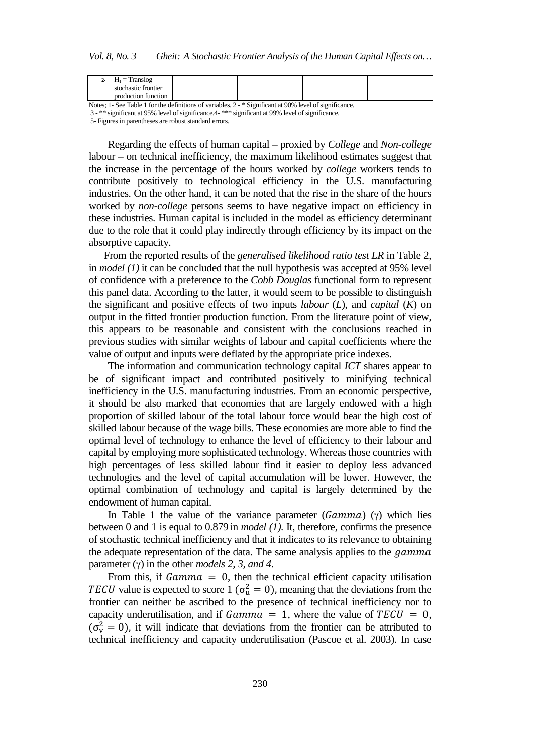| 2- $H_1$ = Translog                                                                                  |  |  |  |  |  |  |
|------------------------------------------------------------------------------------------------------|--|--|--|--|--|--|
| stochastic frontier                                                                                  |  |  |  |  |  |  |
| production function                                                                                  |  |  |  |  |  |  |
| Motor 1. Can Table 1 fou the definitions of variables 2. * Cianificant at 000/ Javal of significance |  |  |  |  |  |  |

Notes; 1- See Table 1 for the definitions of variables. 2 - \* Significant at 90% level of significance. 3 - \*\* significant at 95% level of significance.4- \*\*\* significant at 99% level of significance.

5- Figures in parentheses are robust standard errors.

Regarding the effects of human capital – proxied by *College* and *Non-college*  labour – on technical inefficiency, the maximum likelihood estimates suggest that the increase in the percentage of the hours worked by *college* workers tends to contribute positively to technological efficiency in the U.S. manufacturing industries. On the other hand, it can be noted that the rise in the share of the hours worked by *non-college* persons seems to have negative impact on efficiency in these industries. Human capital is included in the model as efficiency determinant due to the role that it could play indirectly through efficiency by its impact on the absorptive capacity.

 From the reported results of the *generalised likelihood ratio test LR* in Table 2, in *model (1)* it can be concluded that the null hypothesis was accepted at 95% level of confidence with a preference to the *Cobb Douglas* functional form to represent this panel data. According to the latter, it would seem to be possible to distinguish the significant and positive effects of two inputs *labour* (*L*), and *capital* (*K*) on output in the fitted frontier production function. From the literature point of view, this appears to be reasonable and consistent with the conclusions reached in previous studies with similar weights of labour and capital coefficients where the value of output and inputs were deflated by the appropriate price indexes.

The information and communication technology capital *ICT* shares appear to be of significant impact and contributed positively to minifying technical inefficiency in the U.S. manufacturing industries. From an economic perspective, it should be also marked that economies that are largely endowed with a high proportion of skilled labour of the total labour force would bear the high cost of skilled labour because of the wage bills. These economies are more able to find the optimal level of technology to enhance the level of efficiency to their labour and capital by employing more sophisticated technology. Whereas those countries with high percentages of less skilled labour find it easier to deploy less advanced technologies and the level of capital accumulation will be lower. However, the optimal combination of technology and capital is largely determined by the endowment of human capital.

In Table 1 the value of the variance parameter ( $Gamma$ ) (γ) which lies between 0 and 1 is equal to 0.879 in *model (1).* It, therefore, confirms the presence of stochastic technical inefficiency and that it indicates to its relevance to obtaining the adequate representation of the data. The same analysis applies to the *gamma* parameter (γ) in the other *models 2, 3, and 4*.

From this, if  $Gamma = 0$ , then the technical efficient capacity utilisation TECU value is expected to score 1 ( $\sigma_u^2 = 0$ ), meaning that the deviations from the frontier can neither be ascribed to the presence of technical inefficiency nor to capacity underutilisation, and if  $Gamma = 1$ , where the value of  $TECU = 0$ ,  $(\sigma_{\rm v}^2 = 0)$ , it will indicate that deviations from the frontier can be attributed to technical inefficiency and capacity underutilisation (Pascoe et al. 2003). In case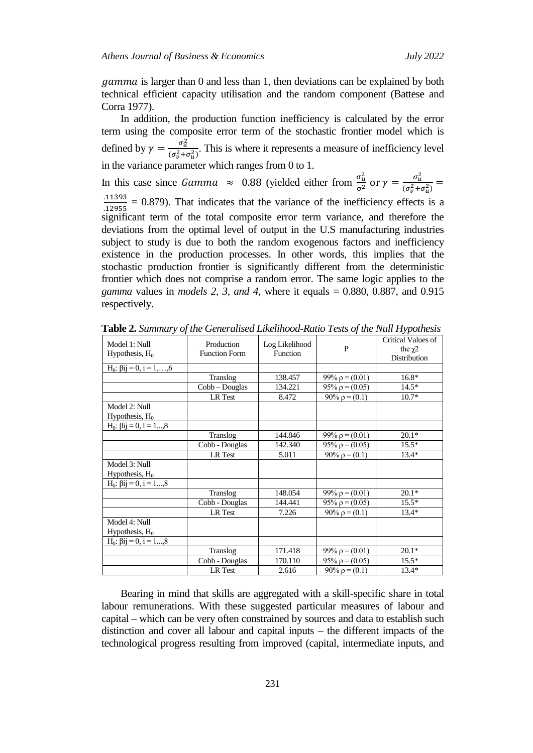$gamma$  is larger than 0 and less than 1, then deviations can be explained by both technical efficient capacity utilisation and the random component (Battese and Corra 1977).

In addition, the production function inefficiency is calculated by the error term using the composite error term of the stochastic frontier model which is defined by  $\gamma = \frac{\sigma_u^2}{(\sigma_u^2 + \sigma_u^2)}$  $\frac{\partial u}{\partial (\sigma_v^2 + \sigma_u^2)}$ . This is where it represents a measure of inefficiency level in the variance parameter which ranges from 0 to 1.

In this case since *Gamma*  $\approx 0.88$  (yielded either from  $\frac{\sigma_u^2}{\sigma^2}$  or  $\gamma = \frac{\sigma_u^2}{(\sigma_v^2 + \sigma_v^2)^2}$  $\frac{a}{(\sigma_v^2 + \sigma_u^2)} =$ .11393  $\frac{(11395)}{(12955)}$  = 0.879). That indicates that the variance of the inefficiency effects is a significant term of the total composite error term variance, and therefore the deviations from the optimal level of output in the U.S manufacturing industries subject to study is due to both the random exogenous factors and inefficiency existence in the production processes. In other words, this implies that the stochastic production frontier is significantly different from the deterministic frontier which does not comprise a random error. The same logic applies to the *gamma* values in *models 2, 3, and 4*, where it equals = 0.880, 0.887, and 0.915 respectively.

| Model 1: Null<br>Hypothesis, $H_0$        | Production<br><b>Function Form</b> | Log Likelihood<br>Function | P                    | Critical Values of<br>the $\chi$ 2<br>Distribution |
|-------------------------------------------|------------------------------------|----------------------------|----------------------|----------------------------------------------------|
| $H_0: \overline{ \beta ij} = 0, i = 1,,6$ |                                    |                            |                      |                                                    |
|                                           | Translog                           | 138.457                    | 99% $\rho = (0.01)$  | $16.8*$                                            |
|                                           |                                    | 134.221                    |                      | $14.5*$                                            |
|                                           | Cobb – Douglas                     |                            | 95% $\rho$ = (0.05)  |                                                    |
|                                           | LR Test                            | 8.472                      | $90\% \rho = (0.1)$  | $10.7*$                                            |
| Model 2: Null                             |                                    |                            |                      |                                                    |
| Hypothesis, $H_0$                         |                                    |                            |                      |                                                    |
| $H_0: \beta ij = 0, i = 1,,8$             |                                    |                            |                      |                                                    |
|                                           | Translog                           | 144.846                    | 99% $\rho$ = (0.01)  | $20.1*$                                            |
|                                           | Cobb - Douglas                     | 142.340                    | 95% $\rho$ = (0.05)  | $15.5*$                                            |
|                                           | LR Test                            | 5.011                      | $90\% \rho = (0.1)$  | $13.4*$                                            |
| Model 3: Null                             |                                    |                            |                      |                                                    |
| Hypothesis, $H_0$                         |                                    |                            |                      |                                                    |
| $H_0: \beta ij = 0, i = 1,,8$             |                                    |                            |                      |                                                    |
|                                           | Translog                           | 148.054                    | 99% $\rho$ = (0.01)  | $20.1*$                                            |
|                                           | Cobb - Douglas                     | 144.441                    | $95\% \rho = (0.05)$ | $15.5*$                                            |
|                                           | LR Test                            | 7.226                      | $90\% \rho = (0.1)$  | $13.4*$                                            |
| Model 4: Null                             |                                    |                            |                      |                                                    |
| Hypothesis, $H_0$                         |                                    |                            |                      |                                                    |
| $H_0$ : $\beta$ ij = 0, i = 1,,8          |                                    |                            |                      |                                                    |
|                                           | Translog                           | 171.418                    | 99% $\rho = (0.01)$  | $20.1*$                                            |
|                                           | Cobb - Douglas                     | 170.110                    | $95\% \rho = (0.05)$ | $15.5*$                                            |
|                                           | LR Test                            | 2.616                      | $90\% \rho = (0.1)$  | $13.4*$                                            |

**Table 2.** *Summary of the Generalised Likelihood-Ratio Tests of the Null Hypothesis*

Bearing in mind that skills are aggregated with a skill-specific share in total labour remunerations. With these suggested particular measures of labour and capital – which can be very often constrained by sources and data to establish such distinction and cover all labour and capital inputs – the different impacts of the technological progress resulting from improved (capital, intermediate inputs, and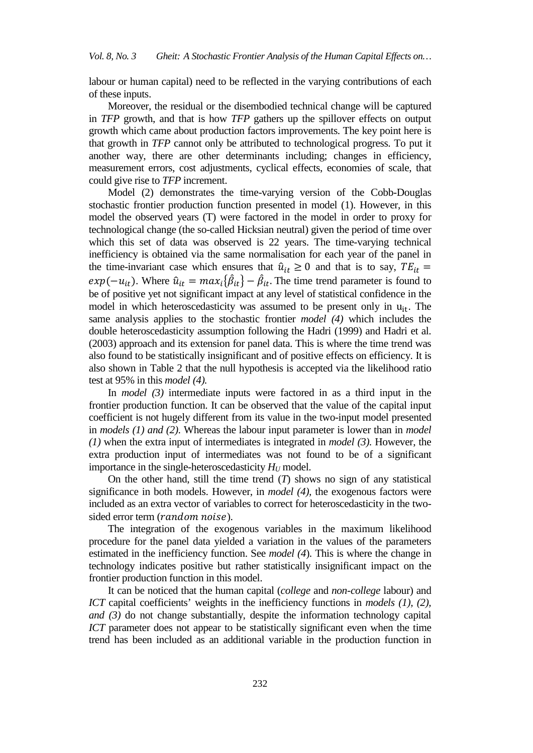labour or human capital) need to be reflected in the varying contributions of each of these inputs.

Moreover, the residual or the disembodied technical change will be captured in *TFP* growth, and that is how *TFP* gathers up the spillover effects on output growth which came about production factors improvements. The key point here is that growth in *TFP* cannot only be attributed to technological progress. To put it another way, there are other determinants including; changes in efficiency, measurement errors, cost adjustments, cyclical effects, economies of scale, that could give rise to *TFP* increment.

Model (2) demonstrates the time-varying version of the Cobb-Douglas stochastic frontier production function presented in model (1). However, in this model the observed years (T) were factored in the model in order to proxy for technological change (the so-called Hicksian neutral) given the period of time over which this set of data was observed is 22 years. The time-varying technical inefficiency is obtained via the same normalisation for each year of the panel in the time-invariant case which ensures that  $\hat{u}_{it} \ge 0$  and that is to say,  $TE_{it}$  $exp(-u_{it})$ . Where  $\hat{u}_{it} = max_i {\hat{\beta}_{it}} - \hat{\beta}_{it}$ . The time trend parameter is found to be of positive yet not significant impact at any level of statistical confidence in the model in which heteroscedasticity was assumed to be present only in  $u_{it}$ . The same analysis applies to the stochastic frontier *model (4)* which includes the double heteroscedasticity assumption following the Hadri (1999) and Hadri et al. (2003) approach and its extension for panel data. This is where the time trend was also found to be statistically insignificant and of positive effects on efficiency. It is also shown in Table 2 that the null hypothesis is accepted via the likelihood ratio test at 95% in this *model (4).*

In *model (3)* intermediate inputs were factored in as a third input in the frontier production function. It can be observed that the value of the capital input coefficient is not hugely different from its value in the two-input model presented in *models (1) and (2)*. Whereas the labour input parameter is lower than in *model (1)* when the extra input of intermediates is integrated in *model (3).* However, the extra production input of intermediates was not found to be of a significant importance in the single-heteroscedasticity  $H_U$  model.

On the other hand, still the time trend (*T*) shows no sign of any statistical significance in both models. However, in *model (4),* the exogenous factors were included as an extra vector of variables to correct for heteroscedasticity in the twosided error term (*random noise*).

The integration of the exogenous variables in the maximum likelihood procedure for the panel data yielded a variation in the values of the parameters estimated in the inefficiency function. See *model (4*). This is where the change in technology indicates positive but rather statistically insignificant impact on the frontier production function in this model.

It can be noticed that the human capital (*college* and *non-college* labour) and *ICT* capital coefficients' weights in the inefficiency functions in *models (1), (2), and (3)* do not change substantially, despite the information technology capital *ICT* parameter does not appear to be statistically significant even when the time trend has been included as an additional variable in the production function in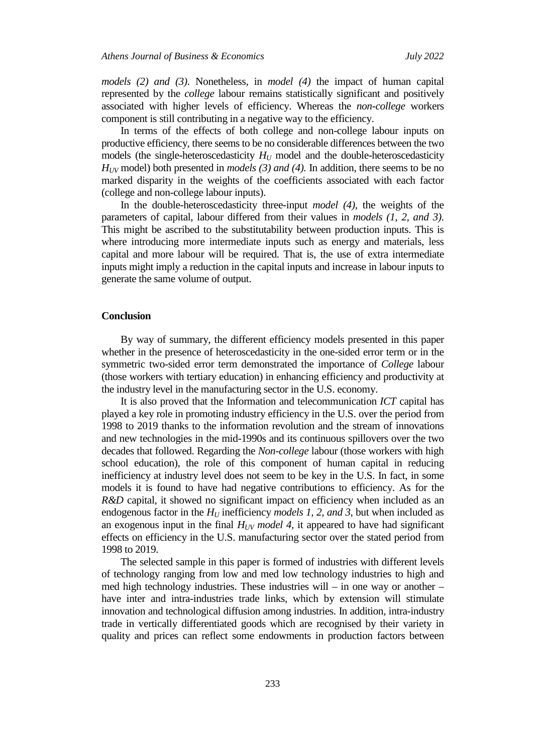*models (2) and (3)*. Nonetheless, in *model (4)* the impact of human capital represented by the *college* labour remains statistically significant and positively associated with higher levels of efficiency. Whereas the *non-college* workers component is still contributing in a negative way to the efficiency.

In terms of the effects of both college and non-college labour inputs on productive efficiency, there seems to be no considerable differences between the two models (the single-heteroscedasticity  $H_U$  model and the double-heteroscedasticity *HUV* model) both presented in *models (3) and (4).* In addition, there seems to be no marked disparity in the weights of the coefficients associated with each factor (college and non-college labour inputs).

In the double-heteroscedasticity three-input *model (4)*, the weights of the parameters of capital, labour differed from their values in *models (1, 2, and 3)*. This might be ascribed to the substitutability between production inputs. This is where introducing more intermediate inputs such as energy and materials, less capital and more labour will be required. That is, the use of extra intermediate inputs might imply a reduction in the capital inputs and increase in labour inputs to generate the same volume of output.

## **Conclusion**

By way of summary, the different efficiency models presented in this paper whether in the presence of heteroscedasticity in the one-sided error term or in the symmetric two-sided error term demonstrated the importance of *College* labour (those workers with tertiary education) in enhancing efficiency and productivity at the industry level in the manufacturing sector in the U.S. economy.

It is also proved that the Information and telecommunication *ICT* capital has played a key role in promoting industry efficiency in the U.S. over the period from 1998 to 2019 thanks to the information revolution and the stream of innovations and new technologies in the mid-1990s and its continuous spillovers over the two decades that followed. Regarding the *Non-college* labour (those workers with high school education), the role of this component of human capital in reducing inefficiency at industry level does not seem to be key in the U.S. In fact, in some models it is found to have had negative contributions to efficiency. As for the *R&D* capital, it showed no significant impact on efficiency when included as an endogenous factor in the  $H_U$  inefficiency *models 1, 2, and 3,* but when included as an exogenous input in the final  $H_{UV}$  model 4, it appeared to have had significant effects on efficiency in the U.S. manufacturing sector over the stated period from 1998 to 2019.

The selected sample in this paper is formed of industries with different levels of technology ranging from low and med low technology industries to high and med high technology industries. These industries will – in one way or another – have inter and intra-industries trade links, which by extension will stimulate innovation and technological diffusion among industries. In addition, intra-industry trade in vertically differentiated goods which are recognised by their variety in quality and prices can reflect some endowments in production factors between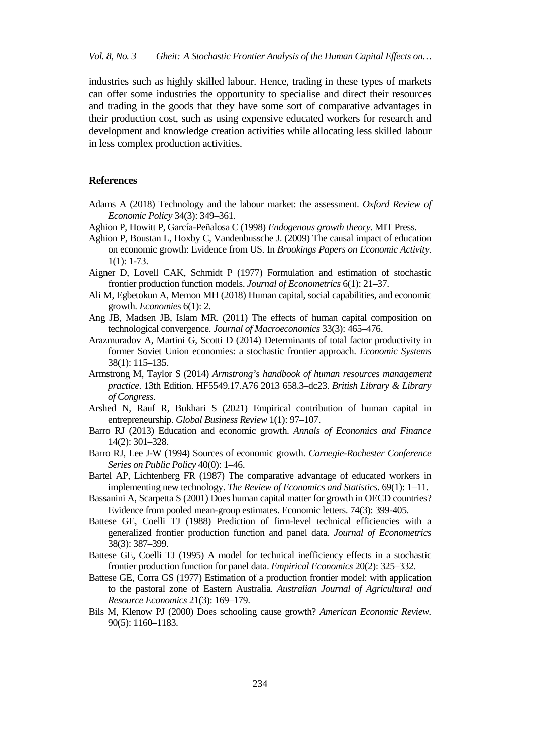industries such as highly skilled labour. Hence, trading in these types of markets can offer some industries the opportunity to specialise and direct their resources and trading in the goods that they have some sort of comparative advantages in their production cost, such as using expensive educated workers for research and development and knowledge creation activities while allocating less skilled labour in less complex production activities.

## **References**

- Adams A (2018) Technology and the labour market: the assessment. *Oxford Review of Economic Policy* 34(3): 349–361.
- Aghion P, Howitt P, García-Peñalosa C (1998) *Endogenous growth theory*. MIT Press.
- Aghion P, Boustan L, Hoxby C, Vandenbussche J. (2009) The causal impact of education on economic growth: Evidence from US. In *Brookings Papers on Economic Activity*. 1(1): 1-73.
- Aigner D, Lovell CAK, Schmidt P (1977) Formulation and estimation of stochastic frontier production function models. *Journal of Econometrics* 6(1): 21–37.
- Ali M, Egbetokun A, Memon MH (2018) Human capital, social capabilities, and economic growth. *Economie*s 6(1): 2.
- Ang JB, Madsen JB, Islam MR. (2011) The effects of human capital composition on technological convergence. *Journal of Macroeconomics* 33(3): 465–476.
- Arazmuradov A, Martini G, Scotti D (2014) Determinants of total factor productivity in former Soviet Union economies: a stochastic frontier approach. *Economic Systems* 38(1): 115–135.
- Armstrong M, Taylor S (2014) *Armstrong's handbook of human resources management practice*. 13th Edition. HF5549.17.A76 2013 658.3–dc23. *British Library & Library of Congress*.
- Arshed N, Rauf R, Bukhari S (2021) Empirical contribution of human capital in entrepreneurship. *Global Business Review* 1(1): 97–107.
- Barro RJ (2013) Education and economic growth. *Annals of Economics and Finance* 14(2): 301–328.
- Barro RJ, Lee J-W (1994) Sources of economic growth. *Carnegie-Rochester Conference Series on Public Policy* 40(0): 1–46.
- Bartel AP, Lichtenberg FR (1987) The comparative advantage of educated workers in implementing new technology. *The Review of Economics and Statistics*. 69(1): 1–11.
- Bassanini A, Scarpetta S (2001) Does human capital matter for growth in OECD countries? Evidence from pooled mean-group estimates. Economic letters. 74(3): 399-405.
- Battese GE, Coelli TJ (1988) Prediction of firm-level technical efficiencies with a generalized frontier production function and panel data. *Journal of Econometrics* 38(3): 387–399.
- Battese GE, Coelli TJ (1995) A model for technical inefficiency effects in a stochastic frontier production function for panel data. *Empirical Economics* 20(2): 325–332.
- Battese GE, Corra GS (1977) Estimation of a production frontier model: with application to the pastoral zone of Eastern Australia. *Australian Journal of Agricultural and Resource Economics* 21(3): 169–179.
- Bils M, Klenow PJ (2000) Does schooling cause growth? *American Economic Review.* 90(5): 1160–1183.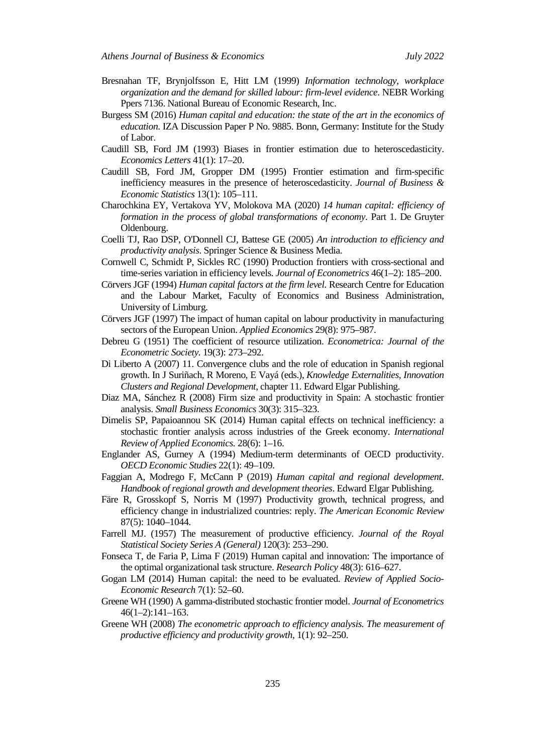- Bresnahan TF, Brynjolfsson E, Hitt LM (1999) *Information technology, workplace organization and the demand for skilled labour: firm-level evidence*. NEBR Working Ppers 7136. National Bureau of Economic Research, Inc.
- Burgess SM (2016) *Human capital and education: the state of the art in the economics of education*. IZA Discussion Paper P No. 9885. Bonn, Germany: Institute for the Study of Labor.
- Caudill SB, Ford JM (1993) Biases in frontier estimation due to heteroscedasticity. *Economics Letters* 41(1): 17–20.
- Caudill SB, Ford JM, Gropper DM (1995) Frontier estimation and firm-specific inefficiency measures in the presence of heteroscedasticity. *Journal of Business & Economic Statistics* 13(1): 105–111.
- Charochkina EY, Vertakova YV, Molokova MA (2020) *14 human capital: efficiency of formation in the process of global transformations of economy*. Part 1. De Gruyter Oldenbourg.
- Coelli TJ, Rao DSP, O'Donnell CJ, Battese GE (2005) *An introduction to efficiency and productivity analysis*. Springer Science & Business Media.
- Cornwell C, Schmidt P, Sickles RC (1990) Production frontiers with cross-sectional and time-series variation in efficiency levels. *Journal of Econometrics* 46(1–2): 185–200.
- Cörvers JGF (1994) *Human capital factors at the firm level*. Research Centre for Education and the Labour Market, Faculty of Economics and Business Administration, University of Limburg.
- Cörvers JGF (1997) The impact of human capital on labour productivity in manufacturing sectors of the European Union. *Applied Economics* 29(8): 975–987.
- Debreu G (1951) The coefficient of resource utilization. *Econometrica: Journal of the Econometric Society.* 19(3): 273–292.
- Di Liberto A (2007) 11. Convergence clubs and the role of education in Spanish regional growth. In J Suriñach, R Moreno, E Vayá (eds.), *Knowledge Externalities, Innovation Clusters and Regional Development*, chapter 11. Edward Elgar Publishing.
- Diaz MA, Sánchez R (2008) Firm size and productivity in Spain: A stochastic frontier analysis. *Small Business Economics* 30(3): 315–323.
- Dimelis SP, Papaioannou SK (2014) Human capital effects on technical inefficiency: a stochastic frontier analysis across industries of the Greek economy. *International Review of Applied Economics.* 28(6): 1–16.
- Englander AS, Gurney A (1994) Medium-term determinants of OECD productivity. *OECD Economic Studies* 22(1): 49–109.
- Faggian A, Modrego F, McCann P (2019) *Human capital and regional development*. *Handbook of regional growth and development theories*. Edward Elgar Publishing.
- Färe R, Grosskopf S, Norris M (1997) Productivity growth, technical progress, and efficiency change in industrialized countries: reply. *The American Economic Review* 87(5): 1040–1044.
- Farrell MJ. (1957) The measurement of productive efficiency. *Journal of the Royal Statistical Society Series A (General)* 120(3): 253–290.
- Fonseca T, de Faria P, Lima F (2019) Human capital and innovation: The importance of the optimal organizational task structure. *Research Policy* 48(3): 616–627.
- Gogan LM (2014) Human capital: the need to be evaluated. *Review of Applied Socio-Economic Research* 7(1): 52–60.
- Greene WH (1990) A gamma-distributed stochastic frontier model. *Journal of Econometrics* 46(1–2):141–163.
- Greene WH (2008) *The econometric approach to efficiency analysis. The measurement of productive efficiency and productivity growth*, 1(1): 92–250.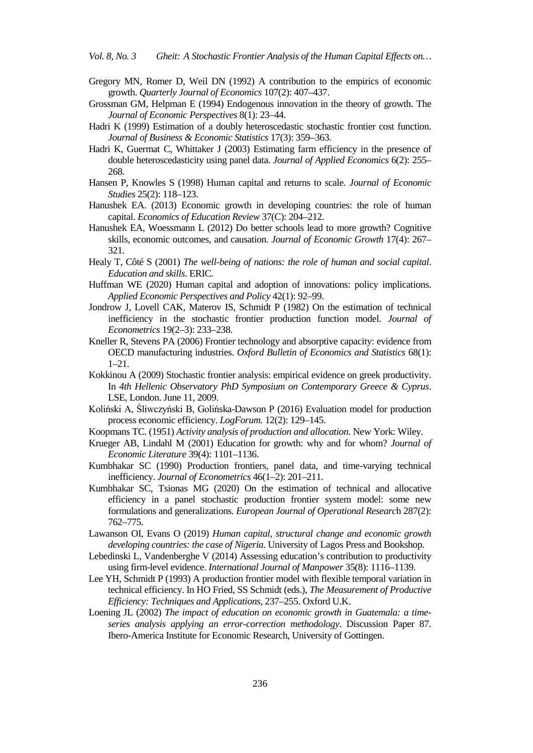- Gregory MN, Romer D, Weil DN (1992) A contribution to the empirics of economic growth. *Quarterly Journal of Economics* 107(2): 407–437.
- Grossman GM, Helpman E (1994) Endogenous innovation in the theory of growth. The *Journal of Economic Perspectives* 8(1): 23–44.
- Hadri K (1999) Estimation of a doubly heteroscedastic stochastic frontier cost function. *Journal of Business & Economic Statistics* 17(3): 359–363.
- Hadri K, Guermat C, Whittaker J (2003) Estimating farm efficiency in the presence of double heteroscedasticity using panel data. *Journal of Applied Economics* 6(2): 255– 268.
- Hansen P, Knowles S (1998) Human capital and returns to scale. *Journal of Economic Studies* 25(2): 118–123.
- Hanushek EA. (2013) Economic growth in developing countries: the role of human capital. *Economics of Education Review* 37(C): 204–212.
- Hanushek EA, Woessmann L (2012) Do better schools lead to more growth? Cognitive skills, economic outcomes, and causation. *Journal of Economic Growth* 17(4): 267– 321.
- Healy T, Côté S (2001) *The well-being of nations: the role of human and social capital*. *Education and skills*. ERIC.
- Huffman WE (2020) Human capital and adoption of innovations: policy implications. *Applied Economic Perspectives and Policy* 42(1): 92–99.
- Jondrow J, Lovell CAK, Materov IS, Schmidt P (1982) On the estimation of technical inefficiency in the stochastic frontier production function model. *Journal of Econometrics* 19(2–3): 233–238.
- Kneller R, Stevens PA (2006) Frontier technology and absorptive capacity: evidence from OECD manufacturing industries. *Oxford Bulletin of Economics and Statistics* 68(1): 1–21.
- Kokkinou A (2009) Stochastic frontier analysis: empirical evidence on greek productivity. In *4th Hellenic Observatory PhD Symposium on Contemporary Greece & Cyprus*. LSE, London. June 11, 2009.
- Koliński A, Śliwczyński B, Golińska-Dawson P (2016) Evaluation model for production process economic efficiency. *LogForum.* 12(2): 129–145.
- Koopmans TC. (1951) *Activity analysis of production and allocation*. New York: Wiley.
- Krueger AB, Lindahl M (2001) Education for growth: why and for whom? *Journal of Economic Literature* 39(4): 1101–1136.
- Kumbhakar SC (1990) Production frontiers, panel data, and time-varying technical inefficiency. *Journal of Econometrics* 46(1–2): 201–211.
- Kumbhakar SC, Tsionas MG (2020) On the estimation of technical and allocative efficiency in a panel stochastic production frontier system model: some new formulations and generalizations. *European Journal of Operational Researc*h 287(2): 762–775.
- Lawanson OI, Evans O (2019) *Human capital, structural change and economic growth developing countries: the case of Nigeria*. University of Lagos Press and Bookshop.
- Lebedinski L, Vandenberghe V (2014) Assessing education's contribution to productivity using firm-level evidence. *International Journal of Manpower* 35(8): 1116–1139.
- Lee YH, Schmidt P (1993) A production frontier model with flexible temporal variation in technical efficiency. In HO Fried, SS Schmidt (eds.), *The Measurement of Productive Efficiency: Techniques and Applications,* 237–255. Oxford U.K.
- Loening JL (2002) *The impact of education on economic growth in Guatemala: a timeseries analysis applying an error-correction methodology*. Discussion Paper 87. Ibero-America Institute for Economic Research, University of Gottingen.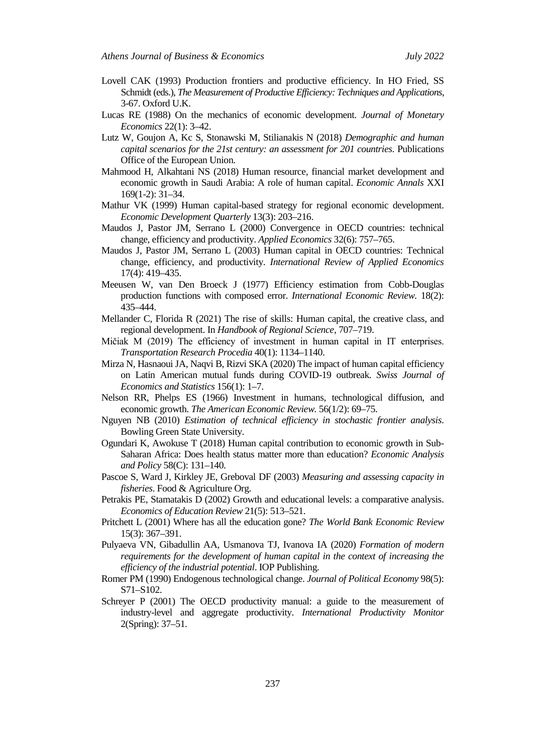- Lovell CAK (1993) Production frontiers and productive efficiency. In HO Fried, SS Schmidt (eds.), *The Measurement of Productive Efficiency: Techniques and Applications*, 3-67. Oxford U.K.
- Lucas RE (1988) On the mechanics of economic development. *Journal of Monetary Economics* 22(1): 3–42.
- Lutz W, Goujon A, Kc S, Stonawski M, Stilianakis N (2018) *Demographic and human capital scenarios for the 21st century: an assessment for 201 countries*. Publications Office of the European Union.
- Mahmood H, Alkahtani NS (2018) Human resource, financial market development and economic growth in Saudi Arabia: A role of human capital. *Economic Annals* XXI 169(1-2): 31–34.
- Mathur VK (1999) Human capital-based strategy for regional economic development. *Economic Development Quarterly* 13(3): 203–216.
- Maudos J, Pastor JM, Serrano L (2000) Convergence in OECD countries: technical change, efficiency and productivity. *Applied Economics* 32(6): 757–765.
- Maudos J, Pastor JM, Serrano L (2003) Human capital in OECD countries: Technical change, efficiency, and productivity. *International Review of Applied Economics* 17(4): 419–435.
- Meeusen W, van Den Broeck J (1977) Efficiency estimation from Cobb-Douglas production functions with composed error. *International Economic Review.* 18(2): 435–444.
- Mellander C, Florida R (2021) The rise of skills: Human capital, the creative class, and regional development. In *Handbook of Regional Science*, 707–719.
- Mičiak M (2019) The efficiency of investment in human capital in IT enterprises. *Transportation Research Procedia* 40(1): 1134–1140.
- Mirza N, Hasnaoui JA, Naqvi B, Rizvi SKA (2020) The impact of human capital efficiency on Latin American mutual funds during COVID-19 outbreak. *Swiss Journal of Economics and Statistics* 156(1): 1–7.
- Nelson RR, Phelps ES (1966) Investment in humans, technological diffusion, and economic growth. *The American Economic Review.* 56(1/2): 69–75.
- Nguyen NB (2010) *Estimation of technical efficiency in stochastic frontier analysis*. Bowling Green State University.
- Ogundari K, Awokuse T (2018) Human capital contribution to economic growth in Sub-Saharan Africa: Does health status matter more than education? *Economic Analysis and Policy* 58(C): 131–140.
- Pascoe S, Ward J, Kirkley JE, Greboval DF (2003) *Measuring and assessing capacity in fisheries*. Food & Agriculture Org.
- Petrakis PE, Stamatakis D (2002) Growth and educational levels: a comparative analysis. *Economics of Education Review* 21(5): 513–521.
- Pritchett L (2001) Where has all the education gone? *The World Bank Economic Review* 15(3): 367–391.
- Pulyaeva VN, Gibadullin AA, Usmanova TJ, Ivanova IA (2020) *Formation of modern requirements for the development of human capital in the context of increasing the efficiency of the industrial potential*. IOP Publishing.
- Romer PM (1990) Endogenous technological change. *Journal of Political Economy* 98(5): S71–S102.
- Schreyer P (2001) The OECD productivity manual: a guide to the measurement of industry-level and aggregate productivity. *International Productivity Monitor* 2(Spring): 37–51.